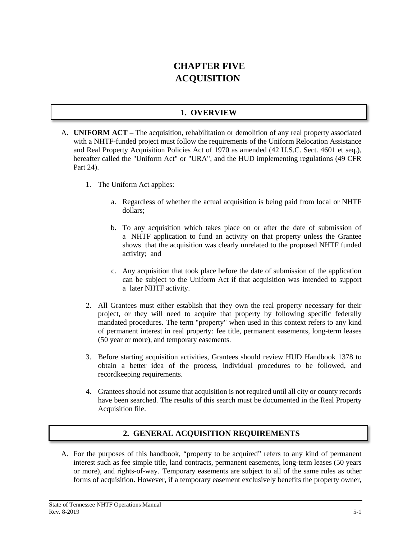# **CHAPTER FIVE ACQUISITION**

# **1. OVERVIEW**

- A. **UNIFORM ACT** The acquisition, rehabilitation or demolition of any real property associated with a NHTF-funded project must follow the requirements of the Uniform Relocation Assistance and Real Property Acquisition Policies Act of 1970 as amended (42 U.S.C. Sect. 4601 et seq.), hereafter called the "Uniform Act" or "URA", and the HUD implementing regulations (49 CFR Part 24).
	- 1. The Uniform Act applies:
		- a. Regardless of whether the actual acquisition is being paid from local or NHTF dollars;
		- b. To any acquisition which takes place on or after the date of submission of a NHTF application to fund an activity on that property unless the Grantee shows that the acquisition was clearly unrelated to the proposed NHTF funded activity; and
		- c. Any acquisition that took place before the date of submission of the application can be subject to the Uniform Act if that acquisition was intended to support a later NHTF activity.
	- 2. All Grantees must either establish that they own the real property necessary for their project, or they will need to acquire that property by following specific federally mandated procedures. The term "property" when used in this context refers to any kind of permanent interest in real property: fee title, permanent easements, long-term leases (50 year or more), and temporary easements.
	- 3. Before starting acquisition activities, Grantees should review HUD Handbook 1378 to obtain a better idea of the process, individual procedures to be followed, and recordkeeping requirements.
	- 4. Grantees should not assume that acquisition is not required until all city or county records have been searched. The results of this search must be documented in the Real Property Acquisition file.

# **2. GENERAL ACQUISITION REQUIREMENTS**

A. For the purposes of this handbook, "property to be acquired" refers to any kind of permanent interest such as fee simple title, land contracts, permanent easements, long-term leases (50 years or more), and rights-of-way. Temporary easements are subject to all of the same rules as other forms of acquisition. However, if a temporary easement exclusively benefits the property owner,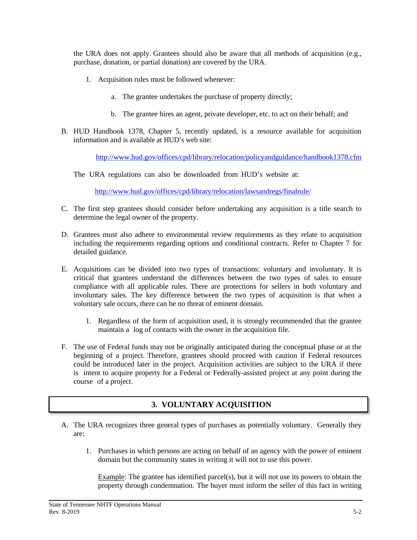the URA does not apply. Grantees should also be aware that all methods of acquisition (e.g., purchase, donation, or partial donation) are covered by the URA.

- 1. Acquisition rules must be followed whenever:
	- a. The grantee undertakes the purchase of property directly;
	- b. The grantee hires an agent, private developer, etc. to act on their behalf; and
- B. HUD Handbook 1378, Chapter 5, recently updated, is a resource available for acquisition information and is available at HUD's web site:

<http://www.hud.gov/offices/cpd/library/relocation/policyandguidance/handbook1378.cfm>

The URA regulations can also be downloaded from HUD's website at:

<http://www.hud.gov/offices/cpd/library/relocation/lawsandregs/finalrule/>

- C. The first step grantees should consider before undertaking any acquisition is a title search to determine the legal owner of the property.
- D. Grantees must also adhere to environmental review requirements as they relate to acquisition including the requirements regarding options and conditional contracts. Refer to Chapter 7 for detailed guidance.
- E. Acquisitions can be divided into two types of transactions: voluntary and involuntary. It is critical that grantees understand the differences between the two types of sales to ensure compliance with all applicable rules. There are protections for sellers in both voluntary and involuntary sales. The key difference between the two types of acquisition is that when a voluntary sale occurs, there can be no threat of eminent domain.
	- 1. Regardless of the form of acquisition used, it is strongly recommended that the grantee maintain a log of contacts with the owner in the acquisition file.
- F. The use of Federal funds may not be originally anticipated during the conceptual phase or at the beginning of a project. Therefore, grantees should proceed with caution if Federal resources could be introduced later in the project. Acquisition activities are subject to the URA if there is intent to acquire property for a Federal or Federally-assisted project at any point during the course of a project.

# **3. VOLUNTARY ACQUISITION**

- A. The URA recognizes three general types of purchases as potentially voluntary. Generally they are:
	- 1. Purchases in which persons are acting on behalf of an agency with the power of eminent domain but the community states in writing it will not to use this power.

Example: The grantee has identified parcel(s), but it will not use its powers to obtain the property through condemnation. The buyer must inform the seller of this fact in writing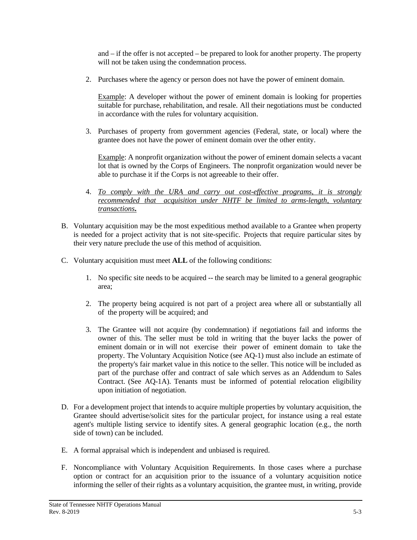and – if the offer is not accepted – be prepared to look for another property. The property will not be taken using the condemnation process.

2. Purchases where the agency or person does not have the power of eminent domain.

Example: A developer without the power of eminent domain is looking for properties suitable for purchase, rehabilitation, and resale. All their negotiations must be conducted in accordance with the rules for voluntary acquisition.

3. Purchases of property from government agencies (Federal, state, or local) where the grantee does not have the power of eminent domain over the other entity.

Example: A nonprofit organization without the power of eminent domain selects a vacant lot that is owned by the Corps of Engineers. The nonprofit organization would never be able to purchase it if the Corps is not agreeable to their offer.

- 4. *To comply with the URA and carry out cost-effective programs, it is strongly recommended that acquisition under NHTF be limited to arms-length, voluntary transactions***.**
- B. Voluntary acquisition may be the most expeditious method available to a Grantee when property is needed for a project activity that is not site-specific. Projects that require particular sites by their very nature preclude the use of this method of acquisition.
- C. Voluntary acquisition must meet **ALL** of the following conditions:
	- 1. No specific site needs to be acquired -- the search may be limited to a general geographic area;
	- 2. The property being acquired is not part of a project area where all or substantially all of the property will be acquired; and
	- 3. The Grantee will not acquire (by condemnation) if negotiations fail and informs the owner of this. The seller must be told in writing that the buyer lacks the power of eminent domain or in will not exercise their power of eminent domain to take the property. The Voluntary Acquisition Notice (see AQ-1) must also include an estimate of the property's fair market value in this notice to the seller. This notice will be included as part of the purchase offer and contract of sale which serves as an Addendum to Sales Contract. (See AQ-1A). Tenants must be informed of potential relocation eligibility upon initiation of negotiation.
- D. For a development project that intends to acquire multiple properties by voluntary acquisition, the Grantee should advertise/solicit sites for the particular project, for instance using a real estate agent's multiple listing service to identify sites. A general geographic location (e.g., the north side of town) can be included.
- E. A formal appraisal which is independent and unbiased is required.
- F. Noncompliance with Voluntary Acquisition Requirements. In those cases where a purchase option or contract for an acquisition prior to the issuance of a voluntary acquisition notice informing the seller of their rights as a voluntary acquisition, the grantee must, in writing, provide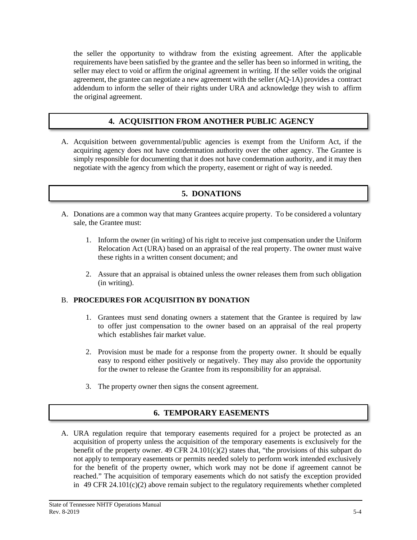the seller the opportunity to withdraw from the existing agreement. After the applicable requirements have been satisfied by the grantee and the seller has been so informed in writing, the seller may elect to void or affirm the original agreement in writing. If the seller voids the original agreement, the grantee can negotiate a new agreement with the seller (AQ-1A) provides a contract addendum to inform the seller of their rights under URA and acknowledge they wish to affirm the original agreement.

# **4. ACQUISITION FROM ANOTHER PUBLIC AGENCY**

A. Acquisition between governmental/public agencies is exempt from the Uniform Act, if the acquiring agency does not have condemnation authority over the other agency. The Grantee is simply responsible for documenting that it does not have condemnation authority, and it may then negotiate with the agency from which the property, easement or right of way is needed.

### **5. DONATIONS**

- A. Donations are a common way that many Grantees acquire property. To be considered a voluntary sale, the Grantee must:
	- 1. Inform the owner (in writing) of his right to receive just compensation under the Uniform Relocation Act (URA) based on an appraisal of the real property. The owner must waive these rights in a written consent document; and
	- 2. Assure that an appraisal is obtained unless the owner releases them from such obligation (in writing).

#### B. **PROCEDURES FOR ACQUISITION BY DONATION**

- 1. Grantees must send donating owners a statement that the Grantee is required by law to offer just compensation to the owner based on an appraisal of the real property which establishes fair market value.
- 2. Provision must be made for a response from the property owner. It should be equally easy to respond either positively or negatively. They may also provide the opportunity for the owner to release the Grantee from its responsibility for an appraisal.
- 3. The property owner then signs the consent agreement.

### **6. TEMPORARY EASEMENTS**

A. URA regulation require that temporary easements required for a project be protected as an acquisition of property unless the acquisition of the temporary easements is exclusively for the benefit of the property owner. 49 CFR 24.101(c)(2) states that, "the provisions of this subpart do not apply to temporary easements or permits needed solely to perform work intended exclusively for the benefit of the property owner, which work may not be done if agreement cannot be reached." The acquisition of temporary easements which do not satisfy the exception provided in 49 CFR 24.101(c)(2) above remain subject to the regulatory requirements whether completed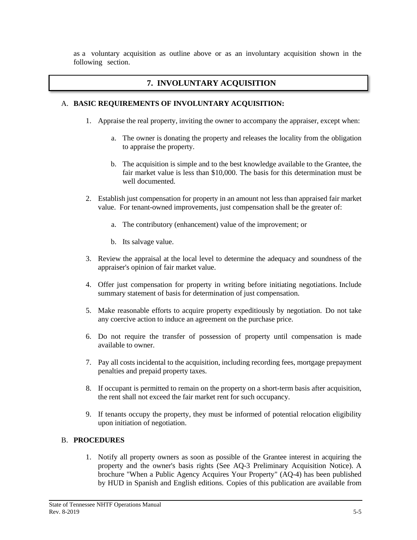as a voluntary acquisition as outline above or as an involuntary acquisition shown in the following section.

# **7. INVOLUNTARY ACQUISITION**

#### A. **BASIC REQUIREMENTS OF INVOLUNTARY ACQUISITION:**

- 1. Appraise the real property, inviting the owner to accompany the appraiser, except when:
	- a. The owner is donating the property and releases the locality from the obligation to appraise the property.
	- b. The acquisition is simple and to the best knowledge available to the Grantee, the fair market value is less than \$10,000. The basis for this determination must be well documented.
- 2. Establish just compensation for property in an amount not less than appraised fair market value. For tenant-owned improvements, just compensation shall be the greater of:
	- a. The contributory (enhancement) value of the improvement; or
	- b. Its salvage value.
- 3. Review the appraisal at the local level to determine the adequacy and soundness of the appraiser's opinion of fair market value.
- 4. Offer just compensation for property in writing before initiating negotiations. Include summary statement of basis for determination of just compensation.
- 5. Make reasonable efforts to acquire property expeditiously by negotiation. Do not take any coercive action to induce an agreement on the purchase price.
- 6. Do not require the transfer of possession of property until compensation is made available to owner.
- 7. Pay all costs incidental to the acquisition, including recording fees, mortgage prepayment penalties and prepaid property taxes.
- 8. If occupant is permitted to remain on the property on a short-term basis after acquisition, the rent shall not exceed the fair market rent for such occupancy.
- 9. If tenants occupy the property, they must be informed of potential relocation eligibility upon initiation of negotiation.

### B. **PROCEDURES**

1. Notify all property owners as soon as possible of the Grantee interest in acquiring the property and the owner's basis rights (See AQ-3 Preliminary Acquisition Notice). A brochure "When a Public Agency Acquires Your Property" (AQ-4) has been published by HUD in Spanish and English editions. Copies of this publication are available from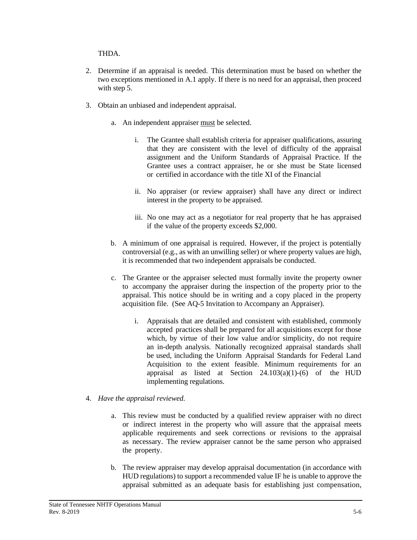#### THDA.

- 2. Determine if an appraisal is needed. This determination must be based on whether the two exceptions mentioned in A.1 apply. If there is no need for an appraisal, then proceed with step 5.
- 3. Obtain an unbiased and independent appraisal.
	- a. An independent appraiser must be selected.
		- i. The Grantee shall establish criteria for appraiser qualifications, assuring that they are consistent with the level of difficulty of the appraisal assignment and the Uniform Standards of Appraisal Practice. If the Grantee uses a contract appraiser, he or she must be State licensed or certified in accordance with the title XI of the Financial
		- ii. No appraiser (or review appraiser) shall have any direct or indirect interest in the property to be appraised.
		- iii. No one may act as a negotiator for real property that he has appraised if the value of the property exceeds \$2,000.
	- b. A minimum of one appraisal is required. However, if the project is potentially controversial (e.g., as with an unwilling seller) or where property values are high, it is recommended that two independent appraisals be conducted.
	- c. The Grantee or the appraiser selected must formally invite the property owner to accompany the appraiser during the inspection of the property prior to the appraisal. This notice should be in writing and a copy placed in the property acquisition file. (See AQ-5 Invitation to Accompany an Appraiser).
		- i. Appraisals that are detailed and consistent with established, commonly accepted practices shall be prepared for all acquisitions except for those which, by virtue of their low value and/or simplicity, do not require an in-depth analysis. Nationally recognized appraisal standards shall be used, including the Uniform Appraisal Standards for Federal Land Acquisition to the extent feasible. Minimum requirements for an appraisal as listed at Section  $24.103(a)(1)-(6)$  of the HUD implementing regulations.
- 4. *Have the appraisal reviewed.*
	- a. This review must be conducted by a qualified review appraiser with no direct or indirect interest in the property who will assure that the appraisal meets applicable requirements and seek corrections or revisions to the appraisal as necessary. The review appraiser cannot be the same person who appraised the property.
	- b. The review appraiser may develop appraisal documentation (in accordance with HUD regulations) to support a recommended value IF he is unable to approve the appraisal submitted as an adequate basis for establishing just compensation,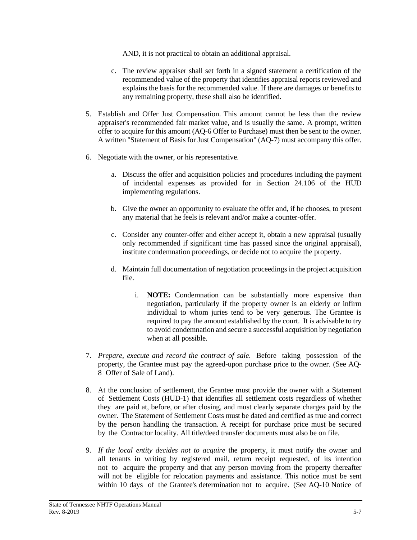AND, it is not practical to obtain an additional appraisal.

- c. The review appraiser shall set forth in a signed statement a certification of the recommended value of the property that identifies appraisal reports reviewed and explains the basis for the recommended value. If there are damages or benefits to any remaining property, these shall also be identified.
- 5. Establish and Offer Just Compensation. This amount cannot be less than the review appraiser's recommended fair market value, and is usually the same. A prompt, written offer to acquire for this amount (AQ-6 Offer to Purchase) must then be sent to the owner. A written "Statement of Basis for Just Compensation" (AQ-7) must accompany this offer.
- 6. Negotiate with the owner, or his representative.
	- a. Discuss the offer and acquisition policies and procedures including the payment of incidental expenses as provided for in Section 24.106 of the HUD implementing regulations.
	- b. Give the owner an opportunity to evaluate the offer and, if he chooses, to present any material that he feels is relevant and/or make a counter-offer.
	- c. Consider any counter-offer and either accept it, obtain a new appraisal (usually only recommended if significant time has passed since the original appraisal), institute condemnation proceedings, or decide not to acquire the property.
	- d. Maintain full documentation of negotiation proceedings in the project acquisition file.
		- i. **NOTE:** Condemnation can be substantially more expensive than negotiation, particularly if the property owner is an elderly or infirm individual to whom juries tend to be very generous. The Grantee is required to pay the amount established by the court. It is advisable to try to avoid condemnation and secure a successful acquisition by negotiation when at all possible.
- 7. *Prepare, execute and record the contract of sale*. Before taking possession of the property, the Grantee must pay the agreed-upon purchase price to the owner. (See AQ-8 Offer of Sale of Land).
- 8. At the conclusion of settlement, the Grantee must provide the owner with a Statement of Settlement Costs (HUD-1) that identifies all settlement costs regardless of whether they are paid at, before, or after closing, and must clearly separate charges paid by the owner. The Statement of Settlement Costs must be dated and certified as true and correct by the person handling the transaction. A receipt for purchase price must be secured by the Contractor locality. All title/deed transfer documents must also be on file.
- 9. *If the local entity decides not to acquire* the property, it must notify the owner and all tenants in writing by registered mail, return receipt requested, of its intention not to acquire the property and that any person moving from the property thereafter will not be eligible for relocation payments and assistance. This notice must be sent within 10 days of the Grantee's determination not to acquire. (See AQ-10 Notice of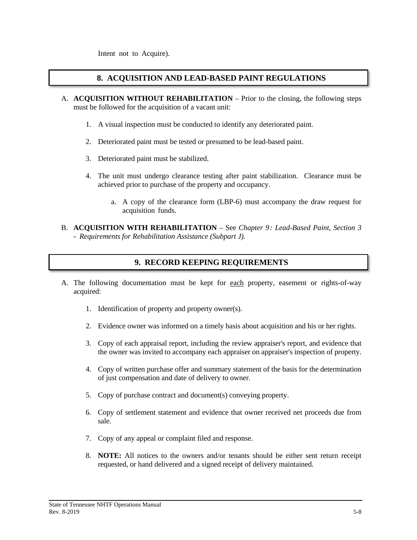Intent not to Acquire).

#### **8. ACQUISITION AND LEAD-BASED PAINT REGULATIONS**

- A. **ACQUISITION WITHOUT REHABILITATION** Prior to the closing, the following steps must be followed for the acquisition of a vacant unit:
	- 1. A visual inspection must be conducted to identify any deteriorated paint.
	- 2. Deteriorated paint must be tested or presumed to be lead-based paint.
	- 3. Deteriorated paint must be stabilized.
	- 4. The unit must undergo clearance testing after paint stabilization. Clearance must be achieved prior to purchase of the property and occupancy.
		- a. A copy of the clearance form (LBP-6) must accompany the draw request for acquisition funds.
- B. **ACQUISITION WITH REHABILITATION** See *Chapter 9: Lead-Based Paint, Section 3 - Requirements for Rehabilitation Assistance (Subpart J).*

#### **9. RECORD KEEPING REQUIREMENTS**

- A. The following documentation must be kept for each property, easement or rights-of-way acquired:
	- 1. Identification of property and property owner(s).
	- 2. Evidence owner was informed on a timely basis about acquisition and his or her rights.
	- 3. Copy of each appraisal report, including the review appraiser's report, and evidence that the owner was invited to accompany each appraiser on appraiser's inspection of property.
	- 4. Copy of written purchase offer and summary statement of the basis for the determination of just compensation and date of delivery to owner.
	- 5. Copy of purchase contract and document(s) conveying property.
	- 6. Copy of settlement statement and evidence that owner received net proceeds due from sale.
	- 7. Copy of any appeal or complaint filed and response.
	- 8. **NOTE:** All notices to the owners and/or tenants should be either sent return receipt requested, or hand delivered and a signed receipt of delivery maintained.